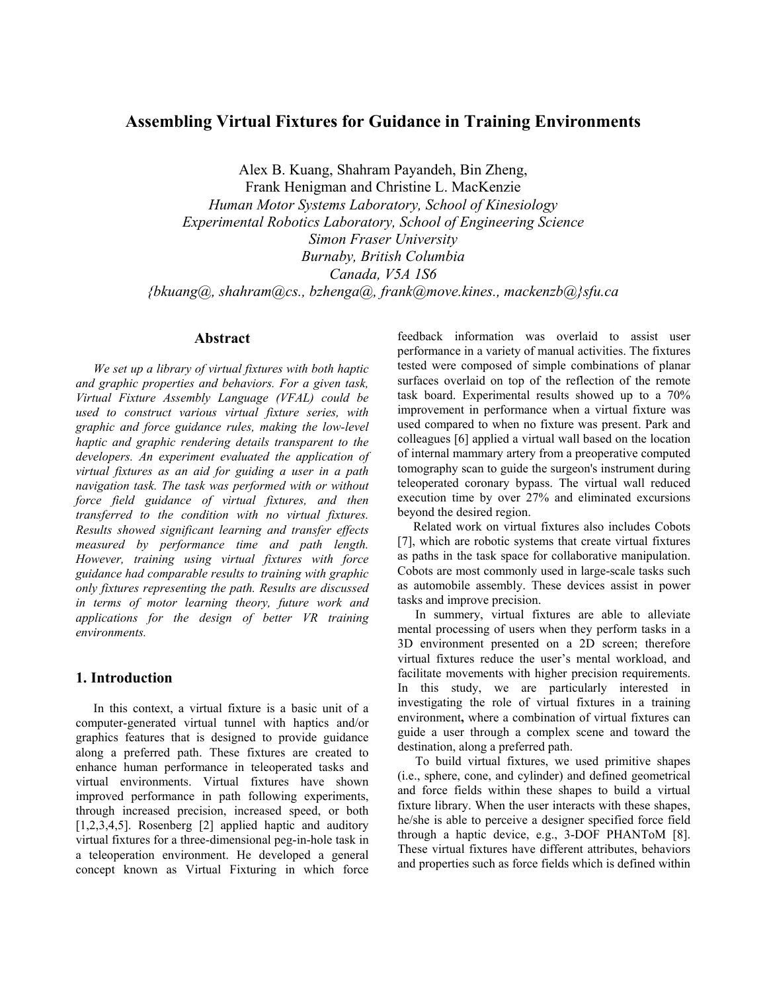# **Assembling Virtual Fixtures for Guidance in Training Environments**

Alex B. Kuang, Shahram Payandeh, Bin Zheng,

Frank Henigman and Christine L. MacKenzie *Human Motor Systems Laboratory, School of Kinesiology Experimental Robotics Laboratory, School of Engineering Science Simon Fraser University Burnaby, British Columbia Canada, V5A 1S6 {bkuang@, shahram@cs., bzhenga@, frank@move.kines., mackenzb@}sfu.ca* 

## **Abstract**

*We set up a library of virtual fixtures with both haptic and graphic properties and behaviors. For a given task, Virtual Fixture Assembly Language (VFAL) could be used to construct various virtual fixture series, with graphic and force guidance rules, making the low-level haptic and graphic rendering details transparent to the developers. An experiment evaluated the application of virtual fixtures as an aid for guiding a user in a path navigation task. The task was performed with or without force field guidance of virtual fixtures, and then transferred to the condition with no virtual fixtures. Results showed significant learning and transfer effects measured by performance time and path length. However, training using virtual fixtures with force guidance had comparable results to training with graphic only fixtures representing the path. Results are discussed in terms of motor learning theory, future work and applications for the design of better VR training environments.* 

## **1. Introduction**

In this context, a virtual fixture is a basic unit of a computer-generated virtual tunnel with haptics and/or graphics features that is designed to provide guidance along a preferred path. These fixtures are created to enhance human performance in teleoperated tasks and virtual environments. Virtual fixtures have shown improved performance in path following experiments, through increased precision, increased speed, or both [1,2,3,4,5]. Rosenberg [2] applied haptic and auditory virtual fixtures for a three-dimensional peg-in-hole task in a teleoperation environment. He developed a general concept known as Virtual Fixturing in which force

feedback information was overlaid to assist user performance in a variety of manual activities. The fixtures tested were composed of simple combinations of planar surfaces overlaid on top of the reflection of the remote task board. Experimental results showed up to a 70% improvement in performance when a virtual fixture was used compared to when no fixture was present. Park and colleagues [6] applied a virtual wall based on the location of internal mammary artery from a preoperative computed tomography scan to guide the surgeon's instrument during teleoperated coronary bypass. The virtual wall reduced execution time by over 27% and eliminated excursions beyond the desired region.

 Related work on virtual fixtures also includes Cobots [7], which are robotic systems that create virtual fixtures as paths in the task space for collaborative manipulation. Cobots are most commonly used in large-scale tasks such as automobile assembly. These devices assist in power tasks and improve precision.

In summery, virtual fixtures are able to alleviate mental processing of users when they perform tasks in a 3D environment presented on a 2D screen; therefore virtual fixtures reduce the user's mental workload, and facilitate movements with higher precision requirements. In this study, we are particularly interested in investigating the role of virtual fixtures in a training environment**,** where a combination of virtual fixtures can guide a user through a complex scene and toward the destination, along a preferred path.

To build virtual fixtures, we used primitive shapes (i.e., sphere, cone, and cylinder) and defined geometrical and force fields within these shapes to build a virtual fixture library. When the user interacts with these shapes, he/she is able to perceive a designer specified force field through a haptic device, e.g., 3-DOF PHANToM [8]. These virtual fixtures have different attributes, behaviors and properties such as force fields which is defined within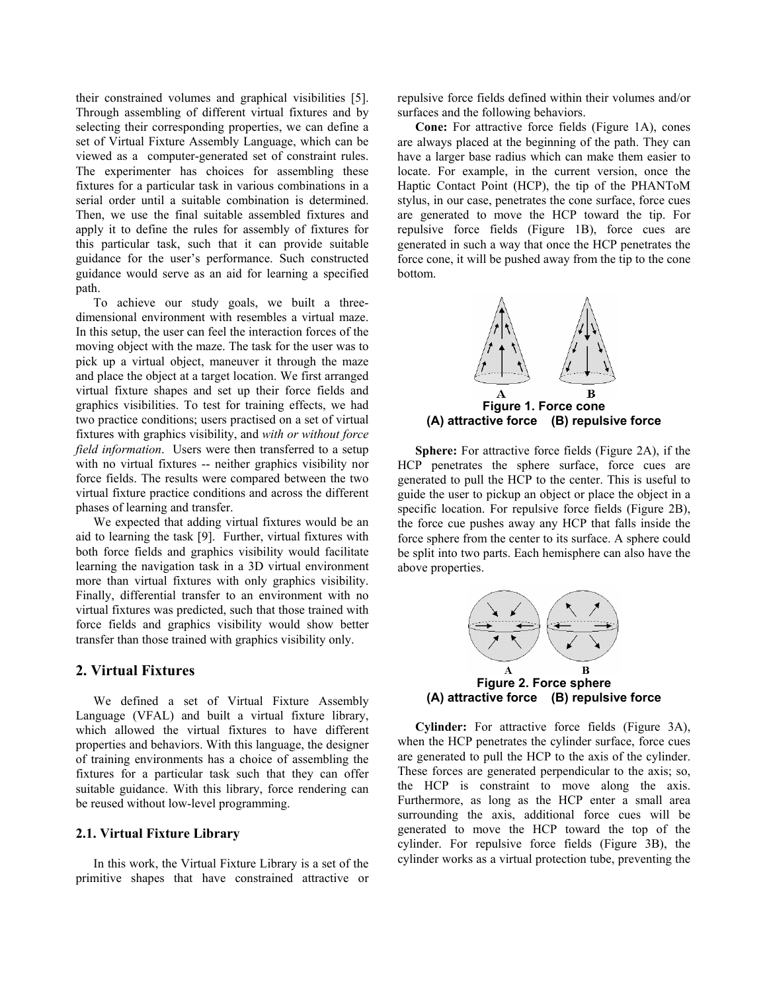their constrained volumes and graphical visibilities [5]. Through assembling of different virtual fixtures and by selecting their corresponding properties, we can define a set of Virtual Fixture Assembly Language, which can be viewed as a computer-generated set of constraint rules. The experimenter has choices for assembling these fixtures for a particular task in various combinations in a serial order until a suitable combination is determined. Then, we use the final suitable assembled fixtures and apply it to define the rules for assembly of fixtures for this particular task, such that it can provide suitable guidance for the user's performance. Such constructed guidance would serve as an aid for learning a specified path.

To achieve our study goals, we built a threedimensional environment with resembles a virtual maze. In this setup, the user can feel the interaction forces of the moving object with the maze. The task for the user was to pick up a virtual object, maneuver it through the maze and place the object at a target location. We first arranged virtual fixture shapes and set up their force fields and graphics visibilities. To test for training effects, we had two practice conditions; users practised on a set of virtual fixtures with graphics visibility, and *with or without force field information*. Users were then transferred to a setup with no virtual fixtures -- neither graphics visibility nor force fields. The results were compared between the two virtual fixture practice conditions and across the different phases of learning and transfer.

We expected that adding virtual fixtures would be an aid to learning the task [9]. Further, virtual fixtures with both force fields and graphics visibility would facilitate learning the navigation task in a 3D virtual environment more than virtual fixtures with only graphics visibility. Finally, differential transfer to an environment with no virtual fixtures was predicted, such that those trained with force fields and graphics visibility would show better transfer than those trained with graphics visibility only.

#### **2. Virtual Fixtures**

We defined a set of Virtual Fixture Assembly Language (VFAL) and built a virtual fixture library, which allowed the virtual fixtures to have different properties and behaviors. With this language, the designer of training environments has a choice of assembling the fixtures for a particular task such that they can offer suitable guidance. With this library, force rendering can be reused without low-level programming.

#### **2.1. Virtual Fixture Library**

In this work, the Virtual Fixture Library is a set of the primitive shapes that have constrained attractive or repulsive force fields defined within their volumes and/or surfaces and the following behaviors.

**Cone:** For attractive force fields (Figure 1A), cones are always placed at the beginning of the path. They can have a larger base radius which can make them easier to locate. For example, in the current version, once the Haptic Contact Point (HCP), the tip of the PHANToM stylus, in our case, penetrates the cone surface, force cues are generated to move the HCP toward the tip. For repulsive force fields (Figure 1B), force cues are generated in such a way that once the HCP penetrates the force cone, it will be pushed away from the tip to the cone bottom.



**Sphere:** For attractive force fields (Figure 2A), if the HCP penetrates the sphere surface, force cues are generated to pull the HCP to the center. This is useful to guide the user to pickup an object or place the object in a specific location. For repulsive force fields (Figure 2B), the force cue pushes away any HCP that falls inside the force sphere from the center to its surface. A sphere could be split into two parts. Each hemisphere can also have the above properties.



**Cylinder:** For attractive force fields (Figure 3A), when the HCP penetrates the cylinder surface, force cues are generated to pull the HCP to the axis of the cylinder. These forces are generated perpendicular to the axis; so, the HCP is constraint to move along the axis. Furthermore, as long as the HCP enter a small area surrounding the axis, additional force cues will be generated to move the HCP toward the top of the cylinder. For repulsive force fields (Figure 3B), the cylinder works as a virtual protection tube, preventing the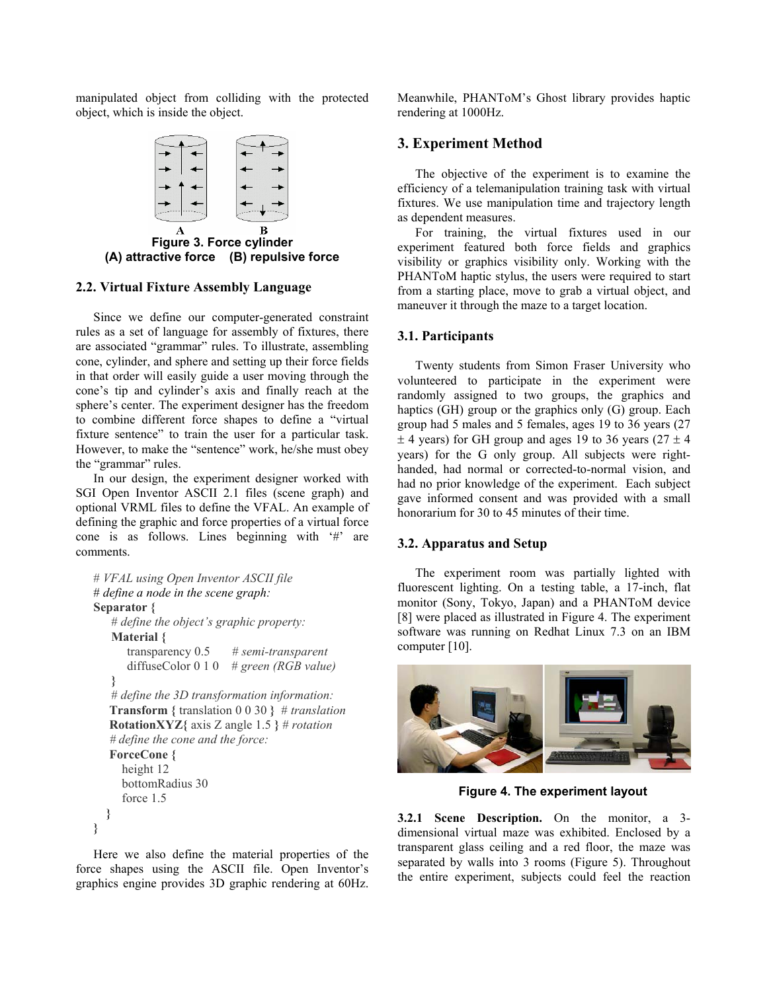manipulated object from colliding with the protected object, which is inside the object.



**Figure 3. Force cylinder (A) attractive force (B) repulsive force** 

## **2.2. Virtual Fixture Assembly Language**

Since we define our computer-generated constraint rules as a set of language for assembly of fixtures, there are associated "grammar" rules. To illustrate, assembling cone, cylinder, and sphere and setting up their force fields in that order will easily guide a user moving through the cone's tip and cylinder's axis and finally reach at the sphere's center. The experiment designer has the freedom to combine different force shapes to define a "virtual fixture sentence" to train the user for a particular task. However, to make the "sentence" work, he/she must obey the "grammar" rules.

In our design, the experiment designer worked with SGI Open Inventor ASCII 2.1 files (scene graph) and optional VRML files to define the VFAL. An example of defining the graphic and force properties of a virtual force cone is as follows. Lines beginning with '#' are comments.

```
# VFAL using Open Inventor ASCII file 
# define a node in the scene graph: 
Separator { 
   # define the object's graphic property: 
   Material { 
       transparency 0.5 # semi-transparent 
       diffuseColor 0 1 0 # green (RGB value) 
    } 
   # define the 3D transformation information: 
    Transform { translation 0 0 30 } # translation 
    RotationXYZ{ axis Z angle 1.5 } # rotation 
    # define the cone and the force: 
    ForceCone { 
      height 12 
      bottomRadius 30 
       force 1.5 
   } 
}
```
Here we also define the material properties of the force shapes using the ASCII file. Open Inventor's graphics engine provides 3D graphic rendering at 60Hz.

Meanwhile, PHANToM's Ghost library provides haptic rendering at 1000Hz.

## **3. Experiment Method**

The objective of the experiment is to examine the efficiency of a telemanipulation training task with virtual fixtures. We use manipulation time and trajectory length as dependent measures.

For training, the virtual fixtures used in our experiment featured both force fields and graphics visibility or graphics visibility only. Working with the PHANToM haptic stylus, the users were required to start from a starting place, move to grab a virtual object, and maneuver it through the maze to a target location.

## **3.1. Participants**

Twenty students from Simon Fraser University who volunteered to participate in the experiment were randomly assigned to two groups, the graphics and haptics (GH) group or the graphics only (G) group. Each group had 5 males and 5 females, ages 19 to 36 years (27  $\pm$  4 years) for GH group and ages 19 to 36 years (27  $\pm$  4 years) for the G only group. All subjects were righthanded, had normal or corrected-to-normal vision, and had no prior knowledge of the experiment. Each subject gave informed consent and was provided with a small honorarium for 30 to 45 minutes of their time.

#### **3.2. Apparatus and Setup**

The experiment room was partially lighted with fluorescent lighting. On a testing table, a 17-inch, flat monitor (Sony, Tokyo, Japan) and a PHANToM device [8] were placed as illustrated in Figure 4. The experiment software was running on Redhat Linux 7.3 on an IBM computer [10].



**Figure 4. The experiment layout** 

**3.2.1 Scene Description.** On the monitor, a 3 dimensional virtual maze was exhibited. Enclosed by a transparent glass ceiling and a red floor, the maze was separated by walls into 3 rooms (Figure 5). Throughout the entire experiment, subjects could feel the reaction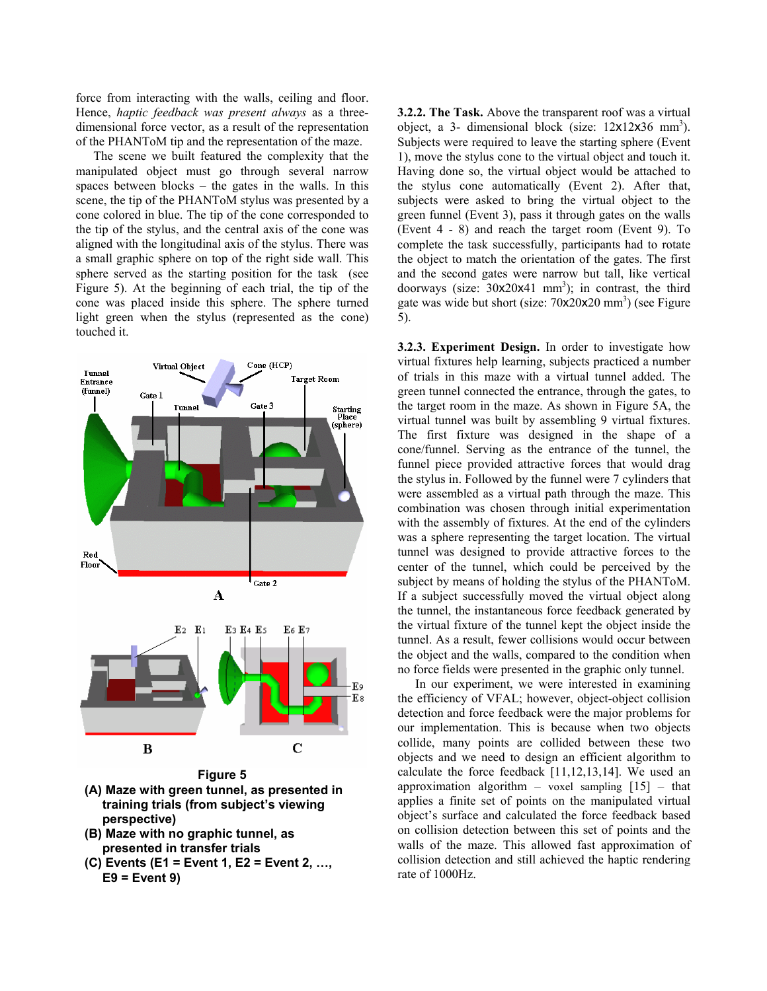force from interacting with the walls, ceiling and floor. Hence, *haptic feedback was present always* as a threedimensional force vector, as a result of the representation of the PHANToM tip and the representation of the maze.

The scene we built featured the complexity that the manipulated object must go through several narrow spaces between blocks – the gates in the walls. In this scene, the tip of the PHANToM stylus was presented by a cone colored in blue. The tip of the cone corresponded to the tip of the stylus, and the central axis of the cone was aligned with the longitudinal axis of the stylus. There was a small graphic sphere on top of the right side wall. This sphere served as the starting position for the task (see Figure 5). At the beginning of each trial, the tip of the cone was placed inside this sphere. The sphere turned light green when the stylus (represented as the cone) touched it.



- **(A) Maze with green tunnel, as presented in training trials (from subject's viewing perspective)**
- **(B) Maze with no graphic tunnel, as presented in transfer trials**
- **(C) Events (E1 = Event 1, E2 = Event 2, …, E9 = Event 9)**

**3.2.2. The Task.** Above the transparent roof was a virtual object, a 3- dimensional block (size:  $12 \times 12 \times 36$  mm<sup>3</sup>). Subjects were required to leave the starting sphere (Event 1), move the stylus cone to the virtual object and touch it. Having done so, the virtual object would be attached to the stylus cone automatically (Event 2). After that, subjects were asked to bring the virtual object to the green funnel (Event 3), pass it through gates on the walls (Event 4 - 8) and reach the target room (Event 9). To complete the task successfully, participants had to rotate the object to match the orientation of the gates. The first and the second gates were narrow but tall, like vertical doorways (size:  $30x20x41$  mm<sup>3</sup>); in contrast, the third gate was wide but short (size:  $70x20x20$  mm<sup>3</sup>) (see Figure 5).

**3.2.3. Experiment Design.** In order to investigate how virtual fixtures help learning, subjects practiced a number of trials in this maze with a virtual tunnel added. The green tunnel connected the entrance, through the gates, to the target room in the maze. As shown in Figure 5A, the virtual tunnel was built by assembling 9 virtual fixtures. The first fixture was designed in the shape of a cone/funnel. Serving as the entrance of the tunnel, the funnel piece provided attractive forces that would drag the stylus in. Followed by the funnel were 7 cylinders that were assembled as a virtual path through the maze. This combination was chosen through initial experimentation with the assembly of fixtures. At the end of the cylinders was a sphere representing the target location. The virtual tunnel was designed to provide attractive forces to the center of the tunnel, which could be perceived by the subject by means of holding the stylus of the PHANToM. If a subject successfully moved the virtual object along the tunnel, the instantaneous force feedback generated by the virtual fixture of the tunnel kept the object inside the tunnel. As a result, fewer collisions would occur between the object and the walls, compared to the condition when no force fields were presented in the graphic only tunnel.

In our experiment, we were interested in examining the efficiency of VFAL; however, object-object collision detection and force feedback were the major problems for our implementation. This is because when two objects collide, many points are collided between these two objects and we need to design an efficient algorithm to calculate the force feedback [11,12,13,14]. We used an approximation algorithm – voxel sampling  $[15]$  – that applies a finite set of points on the manipulated virtual object's surface and calculated the force feedback based on collision detection between this set of points and the walls of the maze. This allowed fast approximation of collision detection and still achieved the haptic rendering rate of 1000Hz.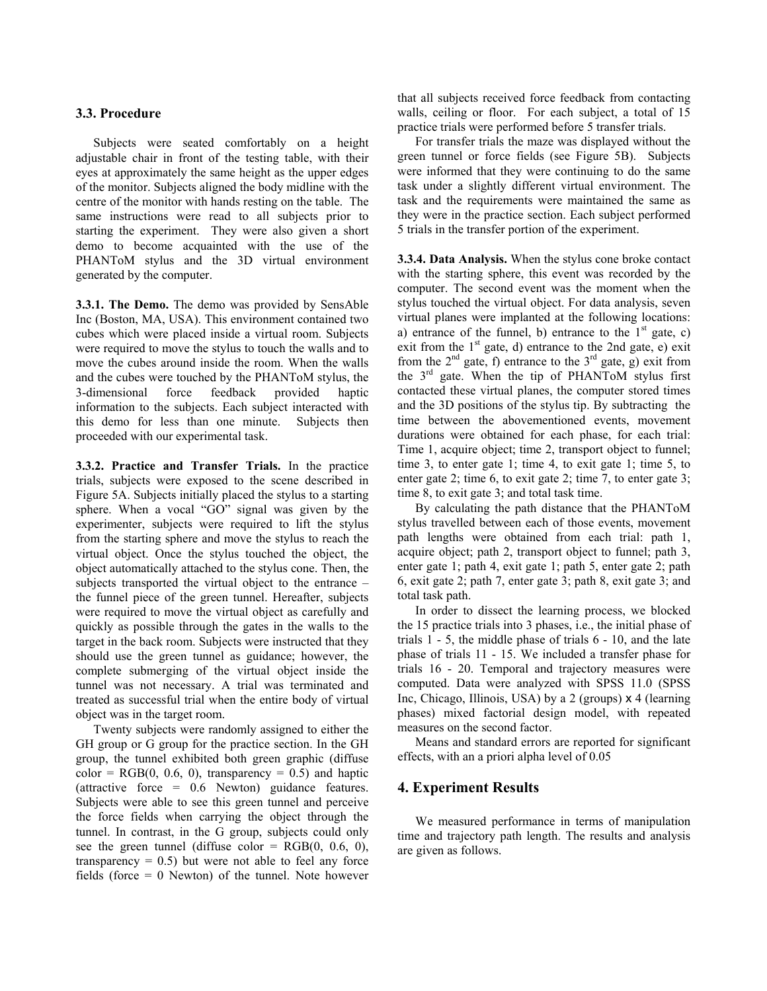## **3.3. Procedure**

Subjects were seated comfortably on a height adjustable chair in front of the testing table, with their eyes at approximately the same height as the upper edges of the monitor. Subjects aligned the body midline with the centre of the monitor with hands resting on the table. The same instructions were read to all subjects prior to starting the experiment. They were also given a short demo to become acquainted with the use of the PHANToM stylus and the 3D virtual environment generated by the computer.

**3.3.1. The Demo.** The demo was provided by SensAble Inc (Boston, MA, USA). This environment contained two cubes which were placed inside a virtual room. Subjects were required to move the stylus to touch the walls and to move the cubes around inside the room. When the walls and the cubes were touched by the PHANToM stylus, the 3-dimensional force feedback provided haptic information to the subjects. Each subject interacted with this demo for less than one minute. Subjects then proceeded with our experimental task.

**3.3.2. Practice and Transfer Trials.** In the practice trials, subjects were exposed to the scene described in Figure 5A. Subjects initially placed the stylus to a starting sphere. When a vocal "GO" signal was given by the experimenter, subjects were required to lift the stylus from the starting sphere and move the stylus to reach the virtual object. Once the stylus touched the object, the object automatically attached to the stylus cone. Then, the subjects transported the virtual object to the entrance – the funnel piece of the green tunnel. Hereafter, subjects were required to move the virtual object as carefully and quickly as possible through the gates in the walls to the target in the back room. Subjects were instructed that they should use the green tunnel as guidance; however, the complete submerging of the virtual object inside the tunnel was not necessary. A trial was terminated and treated as successful trial when the entire body of virtual object was in the target room.

Twenty subjects were randomly assigned to either the GH group or G group for the practice section. In the GH group, the tunnel exhibited both green graphic (diffuse  $color = RGB(0, 0.6, 0)$ , transparency = 0.5) and haptic (attractive force = 0.6 Newton) guidance features. Subjects were able to see this green tunnel and perceive the force fields when carrying the object through the tunnel. In contrast, in the G group, subjects could only see the green tunnel (diffuse color =  $RGB(0, 0.6, 0)$ , transparency  $= 0.5$ ) but were not able to feel any force fields (force  $= 0$  Newton) of the tunnel. Note however

that all subjects received force feedback from contacting walls, ceiling or floor. For each subject, a total of 15 practice trials were performed before 5 transfer trials.

For transfer trials the maze was displayed without the green tunnel or force fields (see Figure 5B). Subjects were informed that they were continuing to do the same task under a slightly different virtual environment. The task and the requirements were maintained the same as they were in the practice section. Each subject performed 5 trials in the transfer portion of the experiment.

**3.3.4. Data Analysis.** When the stylus cone broke contact with the starting sphere, this event was recorded by the computer. The second event was the moment when the stylus touched the virtual object. For data analysis, seven virtual planes were implanted at the following locations: a) entrance of the funnel, b) entrance to the  $1<sup>st</sup>$  gate, c) exit from the  $1<sup>st</sup>$  gate, d) entrance to the 2nd gate, e) exit from the  $2<sup>nd</sup>$  gate, f) entrance to the  $3<sup>rd</sup>$  gate, g) exit from the 3rd gate. When the tip of PHANToM stylus first contacted these virtual planes, the computer stored times and the 3D positions of the stylus tip. By subtracting the time between the abovementioned events, movement durations were obtained for each phase, for each trial: Time 1, acquire object; time 2, transport object to funnel; time 3, to enter gate 1; time 4, to exit gate 1; time 5, to enter gate 2; time 6, to exit gate 2; time 7, to enter gate 3; time 8, to exit gate 3; and total task time.

By calculating the path distance that the PHANToM stylus travelled between each of those events, movement path lengths were obtained from each trial: path 1, acquire object; path 2, transport object to funnel; path 3, enter gate 1; path 4, exit gate 1; path 5, enter gate 2; path 6, exit gate 2; path 7, enter gate 3; path 8, exit gate 3; and total task path.

In order to dissect the learning process, we blocked the 15 practice trials into 3 phases, i.e., the initial phase of trials 1 - 5, the middle phase of trials 6 - 10, and the late phase of trials 11 - 15. We included a transfer phase for trials 16 - 20. Temporal and trajectory measures were computed. Data were analyzed with SPSS 11.0 (SPSS Inc, Chicago, Illinois, USA) by a 2 (groups) x 4 (learning phases) mixed factorial design model, with repeated measures on the second factor.

Means and standard errors are reported for significant effects, with an a priori alpha level of 0.05

## **4. Experiment Results**

We measured performance in terms of manipulation time and trajectory path length. The results and analysis are given as follows.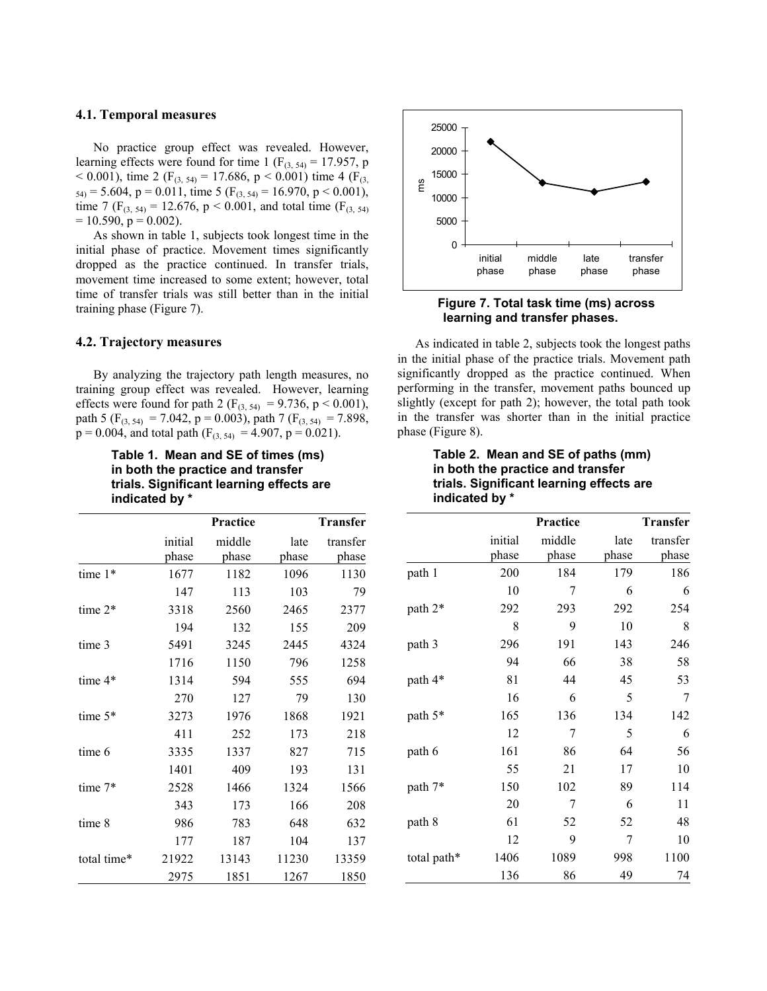#### **4.1. Temporal measures**

No practice group effect was revealed. However, learning effects were found for time 1 ( $F_{(3, 54)} = 17.957$ , p < 0.001), time 2 ( $F_{(3, 54)} = 17.686$ , p < 0.001) time 4 ( $F_{(3, 54)}$  $_{54)}$  = 5.604, p = 0.011, time 5 (F<sub>(3, 54)</sub> = 16.970, p < 0.001), time 7 (F<sub>(3, 54)</sub> = 12.676, p < 0.001, and total time (F<sub>(3, 54)</sub>  $= 10.590$ ,  $p = 0.002$ ).

As shown in table 1, subjects took longest time in the initial phase of practice. Movement times significantly dropped as the practice continued. In transfer trials, movement time increased to some extent; however, total time of transfer trials was still better than in the initial training phase (Figure 7).

#### **4.2. Trajectory measures**

By analyzing the trajectory path length measures, no training group effect was revealed. However, learning effects were found for path 2 ( $F_{(3, 54)} = 9.736$ , p < 0.001), path 5 ( $F_{(3, 54)} = 7.042$ , p = 0.003), path 7 ( $F_{(3, 54)} = 7.898$ ,  $p = 0.004$ , and total path (F<sub>(3, 54)</sub> = 4.907, p = 0.021).

> **Table 1. Mean and SE of times (ms) in both the practice and transfer trials. Significant learning effects are indicated by \***

|             |         | Practice | Transfer |          |
|-------------|---------|----------|----------|----------|
|             | initial | middle   | late     | transfer |
|             | phase   | phase    | phase    | phase    |
| time 1*     | 1677    | 1182     | 1096     | 1130     |
|             | 147     | 113      | 103      | 79       |
| time $2*$   | 3318    | 2560     | 2465     | 2377     |
|             | 194     | 132      | 155      | 209      |
| time 3      | 5491    | 3245     | 2445     | 4324     |
|             | 1716    | 1150     | 796      | 1258     |
| time $4*$   | 1314    | 594      | 555      | 694      |
|             | 270     | 127      | 79       | 130      |
| time $5*$   | 3273    | 1976     | 1868     | 1921     |
|             | 411     | 252      | 173      | 218      |
| time 6      | 3335    | 1337     | 827      | 715      |
|             | 1401    | 409      | 193      | 131      |
| time $7*$   | 2528    | 1466     | 1324     | 1566     |
|             | 343     | 173      | 166      | 208      |
| time 8      | 986     | 783      | 648      | 632      |
|             | 177     | 187      | 104      | 137      |
| total time* | 21922   | 13143    | 11230    | 13359    |
|             | 2975    | 1851     | 1267     | 1850     |



 **Figure 7. Total task time (ms) across learning and transfer phases.**

As indicated in table 2, subjects took the longest paths in the initial phase of the practice trials. Movement path significantly dropped as the practice continued. When performing in the transfer, movement paths bounced up slightly (except for path 2); however, the total path took in the transfer was shorter than in the initial practice phase (Figure 8).

## **Table 2. Mean and SE of paths (mm) in both the practice and transfer trials. Significant learning effects are indicated by \***

|             |                  | Practice        |               | <b>Transfer</b>   |
|-------------|------------------|-----------------|---------------|-------------------|
|             | initial<br>phase | middle<br>phase | late<br>phase | transfer<br>phase |
| path 1      | 200              | 184             | 179           | 186               |
|             | 10               | 7               | 6             | 6                 |
| path 2*     | 292              | 293             | 292           | 254               |
|             | 8                | 9               | 10            | 8                 |
| path 3      | 296              | 191             | 143           | 246               |
|             | 94               | 66              | 38            | 58                |
| path 4*     | 81               | 44              | 45            | 53                |
|             | 16               | 6               | 5             | 7                 |
| path 5*     | 165              | 136             | 134           | 142               |
|             | 12               | 7               | 5             | 6                 |
| path 6      | 161              | 86              | 64            | 56                |
|             | 55               | 21              | 17            | 10                |
| path 7*     | 150              | 102             | 89            | 114               |
|             | 20               | 7               | 6             | 11                |
| path 8      | 61               | 52              | 52            | 48                |
|             | 12               | 9               | 7             | 10                |
| total path* | 1406             | 1089            | 998           | 1100              |
|             | 136              | 86              | 49            | 74                |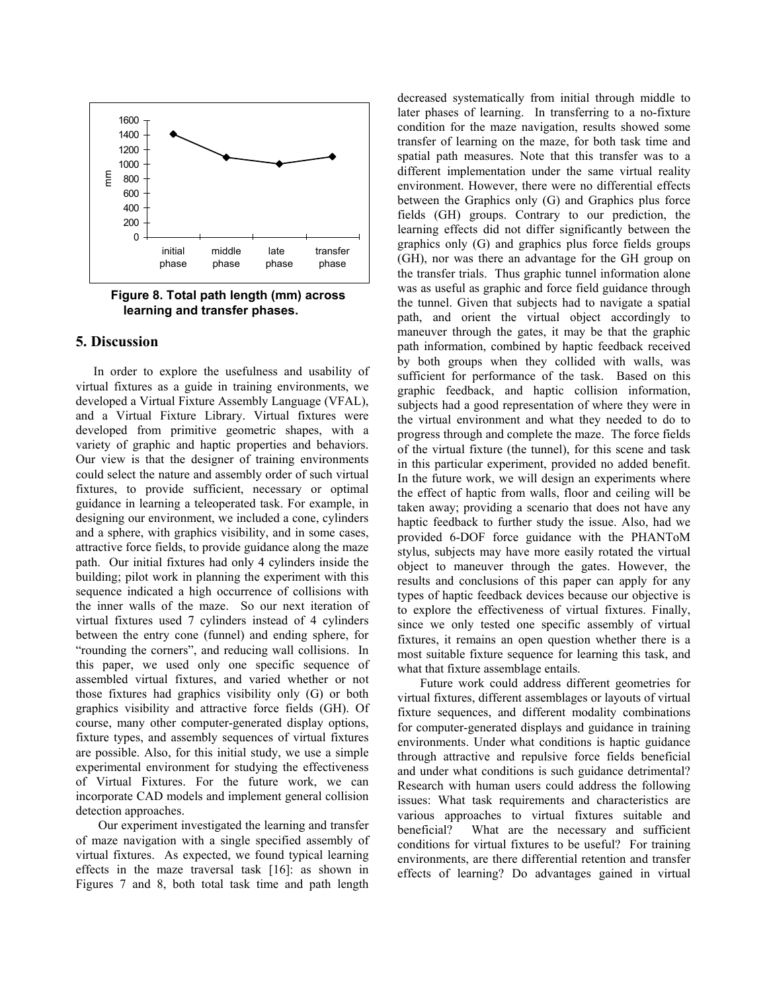

 **Figure 8. Total path length (mm) across learning and transfer phases.** 

#### **5. Discussion**

In order to explore the usefulness and usability of virtual fixtures as a guide in training environments, we developed a Virtual Fixture Assembly Language (VFAL), and a Virtual Fixture Library. Virtual fixtures were developed from primitive geometric shapes, with a variety of graphic and haptic properties and behaviors. Our view is that the designer of training environments could select the nature and assembly order of such virtual fixtures, to provide sufficient, necessary or optimal guidance in learning a teleoperated task. For example, in designing our environment, we included a cone, cylinders and a sphere, with graphics visibility, and in some cases, attractive force fields, to provide guidance along the maze path. Our initial fixtures had only 4 cylinders inside the building; pilot work in planning the experiment with this sequence indicated a high occurrence of collisions with the inner walls of the maze. So our next iteration of virtual fixtures used 7 cylinders instead of 4 cylinders between the entry cone (funnel) and ending sphere, for "rounding the corners", and reducing wall collisions. In this paper, we used only one specific sequence of assembled virtual fixtures, and varied whether or not those fixtures had graphics visibility only (G) or both graphics visibility and attractive force fields (GH). Of course, many other computer-generated display options, fixture types, and assembly sequences of virtual fixtures are possible. Also, for this initial study, we use a simple experimental environment for studying the effectiveness of Virtual Fixtures. For the future work, we can incorporate CAD models and implement general collision detection approaches.

 Our experiment investigated the learning and transfer of maze navigation with a single specified assembly of virtual fixtures. As expected, we found typical learning effects in the maze traversal task [16]: as shown in Figures 7 and 8, both total task time and path length

decreased systematically from initial through middle to later phases of learning. In transferring to a no-fixture condition for the maze navigation, results showed some transfer of learning on the maze, for both task time and spatial path measures. Note that this transfer was to a different implementation under the same virtual reality environment. However, there were no differential effects between the Graphics only (G) and Graphics plus force fields (GH) groups. Contrary to our prediction, the learning effects did not differ significantly between the graphics only (G) and graphics plus force fields groups (GH), nor was there an advantage for the GH group on the transfer trials. Thus graphic tunnel information alone was as useful as graphic and force field guidance through the tunnel. Given that subjects had to navigate a spatial path, and orient the virtual object accordingly to maneuver through the gates, it may be that the graphic path information, combined by haptic feedback received by both groups when they collided with walls, was sufficient for performance of the task. Based on this graphic feedback, and haptic collision information, subjects had a good representation of where they were in the virtual environment and what they needed to do to progress through and complete the maze. The force fields of the virtual fixture (the tunnel), for this scene and task in this particular experiment, provided no added benefit. In the future work, we will design an experiments where the effect of haptic from walls, floor and ceiling will be taken away; providing a scenario that does not have any haptic feedback to further study the issue. Also, had we provided 6-DOF force guidance with the PHANToM stylus, subjects may have more easily rotated the virtual object to maneuver through the gates. However, the results and conclusions of this paper can apply for any types of haptic feedback devices because our objective is to explore the effectiveness of virtual fixtures. Finally, since we only tested one specific assembly of virtual fixtures, it remains an open question whether there is a most suitable fixture sequence for learning this task, and what that fixture assemblage entails.

 Future work could address different geometries for virtual fixtures, different assemblages or layouts of virtual fixture sequences, and different modality combinations for computer-generated displays and guidance in training environments. Under what conditions is haptic guidance through attractive and repulsive force fields beneficial and under what conditions is such guidance detrimental? Research with human users could address the following issues: What task requirements and characteristics are various approaches to virtual fixtures suitable and beneficial? What are the necessary and sufficient conditions for virtual fixtures to be useful? For training environments, are there differential retention and transfer effects of learning? Do advantages gained in virtual